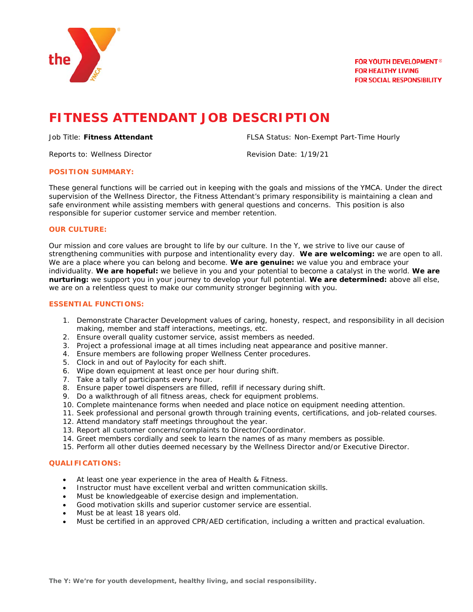

# **FITNESS ATTENDANT JOB DESCRIPTION**

Reports to: Wellness Director and a series of Revision Date: 1/19/21

Job Title: **Fitness Attendant** FLSA Status: Non-Exempt Part-Time Hourly

## **POSITION SUMMARY:**

These general functions will be carried out in keeping with the goals and missions of the YMCA. Under the direct supervision of the Wellness Director, the Fitness Attendant's primary responsibility is maintaining a clean and safe environment while assisting members with general questions and concerns. This position is also responsible for superior customer service and member retention.

# **OUR CULTURE:**

Our mission and core values are brought to life by our culture. In the Y, we strive to live our cause of strengthening communities with purpose and intentionality every day. **We are welcoming:** we are open to all. We are a place where you can belong and become. **We are genuine:** we value you and embrace your individuality. **We are hopeful:** we believe in you and your potential to become a catalyst in the world. **We are nurturing:** we support you in your journey to develop your full potential. **We are determined:** above all else, we are on a relentless quest to make our community stronger beginning with you.

#### **ESSENTIAL FUNCTIONS:**

- 1. Demonstrate Character Development values of caring, honesty, respect, and responsibility in all decision making, member and staff interactions, meetings, etc.
- 2. Ensure overall quality customer service, assist members as needed.
- 3. Project a professional image at all times including neat appearance and positive manner.
- 4. Ensure members are following proper Wellness Center procedures.
- 5. Clock in and out of Paylocity for each shift.
- 6. Wipe down equipment at least once per hour during shift.
- 7. Take a tally of participants every hour.
- 8. Ensure paper towel dispensers are filled, refill if necessary during shift.
- 9. Do a walkthrough of all fitness areas, check for equipment problems.
- 10. Complete maintenance forms when needed and place notice on equipment needing attention.
- 11. Seek professional and personal growth through training events, certifications, and job-related courses.
- 12. Attend mandatory staff meetings throughout the year.
- 13. Report all customer concerns/complaints to Director/Coordinator.
- 14. Greet members cordially and seek to learn the names of as many members as possible.
- 15. Perform all other duties deemed necessary by the Wellness Director and/or Executive Director.

# **QUALIFICATIONS:**

- At least one year experience in the area of Health & Fitness.
- Instructor must have excellent verbal and written communication skills.
- Must be knowledgeable of exercise design and implementation.
- Good motivation skills and superior customer service are essential.
- Must be at least 18 years old.
- Must be certified in an approved CPR/AED certification, including a written and practical evaluation.